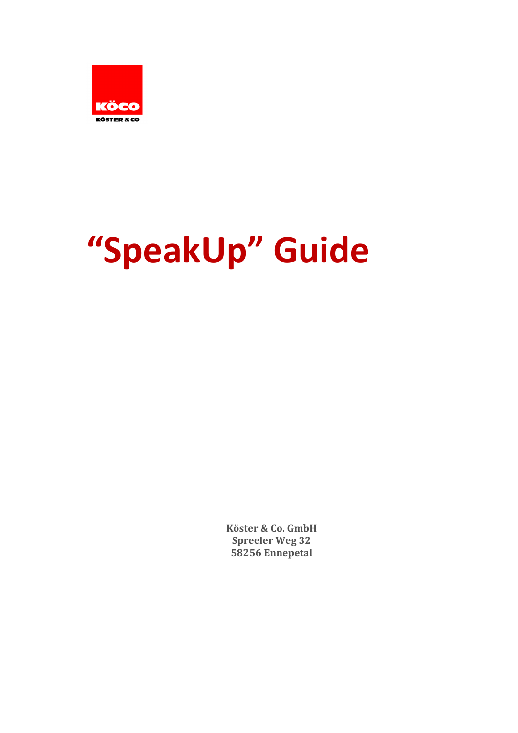

# **"SpeakUp" Guide**

**Köster & Co. GmbH Spreeler** Weg 32 **58256 Ennepetal**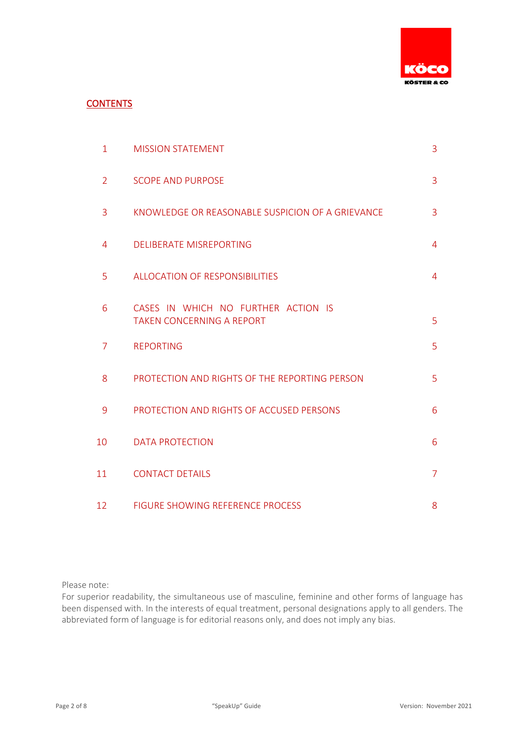

# **CONTENTS**

| $\mathbf{1}$   | <b>MISSION STATEMENT</b>                                                | 3              |
|----------------|-------------------------------------------------------------------------|----------------|
| $\overline{2}$ | <b>SCOPE AND PURPOSE</b>                                                | 3              |
| 3              | KNOWLEDGE OR REASONABLE SUSPICION OF A GRIEVANCE                        | 3              |
| 4              | <b>DELIBERATE MISREPORTING</b>                                          | 4              |
| 5              | <b>ALLOCATION OF RESPONSIBILITIES</b>                                   | 4              |
| 6              | CASES IN WHICH NO FURTHER ACTION IS<br><b>TAKEN CONCERNING A REPORT</b> | 5              |
| 7              | <b>REPORTING</b>                                                        | 5              |
| 8              | PROTECTION AND RIGHTS OF THE REPORTING PERSON                           | 5              |
| 9              | PROTECTION AND RIGHTS OF ACCUSED PERSONS                                | 6              |
| 10             | <b>DATA PROTECTION</b>                                                  | 6              |
| 11             | <b>CONTACT DETAILS</b>                                                  | $\overline{7}$ |
| 12             | <b>FIGURE SHOWING REFERENCE PROCESS</b>                                 | 8              |

Please note:

For superior readability, the simultaneous use of masculine, feminine and other forms of language has been dispensed with. In the interests of equal treatment, personal designations apply to all genders. The abbreviated form of language is for editorial reasons only, and does not imply any bias.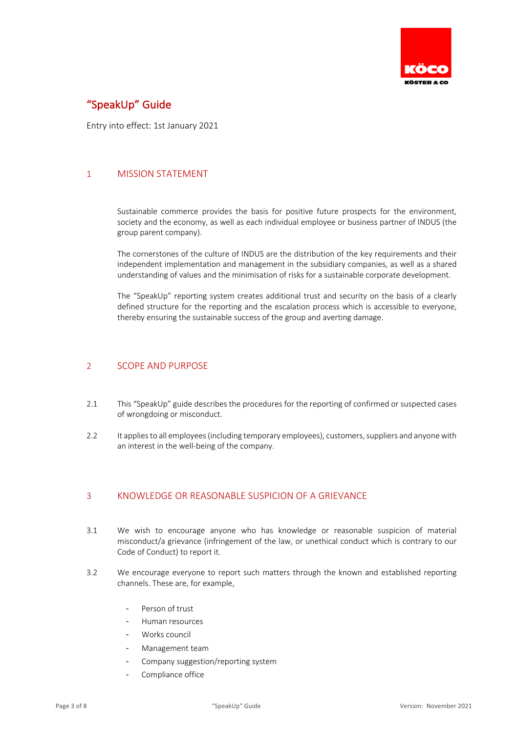

# "SpeakUp" Guide

Entry into effect: 1st January 2021

# 1 MISSION STATEMENT

Sustainable commerce provides the basis for positive future prospects for the environment, society and the economy, as well as each individual employee or business partner of INDUS (the group parent company).

The cornerstones of the culture of INDUS are the distribution of the key requirements and their independent implementation and management in the subsidiary companies, as well as a shared understanding of values and the minimisation of risks for a sustainable corporate development.

The "SpeakUp" reporting system creates additional trust and security on the basis of a clearly defined structure for the reporting and the escalation process which is accessible to everyone, thereby ensuring the sustainable success of the group and averting damage.

## 2 SCOPE AND PURPOSE

- 2.1 This "SpeakUp" guide describes the procedures for the reporting of confirmed or suspected cases of wrongdoing or misconduct.
- 2.2 It applies to all employees (including temporary employees), customers, suppliers and anyone with an interest in the well-being of the company.

# 3 KNOWLEDGE OR REASONABLE SUSPICION OF A GRIEVANCE

- 3.1 We wish to encourage anyone who has knowledge or reasonable suspicion of material misconduct/a grievance (infringement of the law, or unethical conduct which is contrary to our Code of Conduct) to report it.
- 3.2 We encourage everyone to report such matters through the known and established reporting channels. These are, for example,
	- Person of trust
	- Human resources
	- Works council
	- Management team
	- Company suggestion/reporting system
	- Compliance office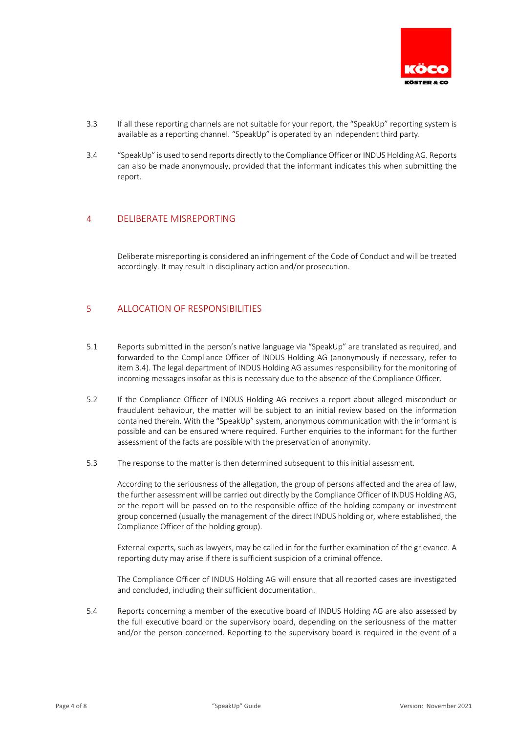

- 3.3 If all these reporting channels are not suitable for your report, the "SpeakUp" reporting system is available as a reporting channel. "SpeakUp" is operated by an independent third party.
- 3.4 "SpeakUp" is used to send reports directly to the Compliance Officer or INDUS Holding AG. Reports can also be made anonymously, provided that the informant indicates this when submitting the report.

# 4 DELIBERATE MISREPORTING

Deliberate misreporting is considered an infringement of the Code of Conduct and will be treated accordingly. It may result in disciplinary action and/or prosecution.

## 5 ALLOCATION OF RESPONSIBILITIES

- 5.1 Reports submitted in the person's native language via "SpeakUp" are translated as required, and forwarded to the Compliance Officer of INDUS Holding AG (anonymously if necessary, refer to item 3.4). The legal department of INDUS Holding AG assumes responsibility for the monitoring of incoming messages insofar as this is necessary due to the absence of the Compliance Officer.
- 5.2 If the Compliance Officer of INDUS Holding AG receives a report about alleged misconduct or fraudulent behaviour, the matter will be subject to an initial review based on the information contained therein. With the "SpeakUp" system, anonymous communication with the informant is possible and can be ensured where required. Further enquiries to the informant for the further assessment of the facts are possible with the preservation of anonymity.
- 5.3 The response to the matter is then determined subsequent to this initial assessment.

According to the seriousness of the allegation, the group of persons affected and the area of law, the further assessment will be carried out directly by the Compliance Officer of INDUS Holding AG, or the report will be passed on to the responsible office of the holding company or investment group concerned (usually the management of the direct INDUS holding or, where established, the Compliance Officer of the holding group).

External experts, such as lawyers, may be called in for the further examination of the grievance. A reporting duty may arise if there is sufficient suspicion of a criminal offence.

The Compliance Officer of INDUS Holding AG will ensure that all reported cases are investigated and concluded, including their sufficient documentation.

5.4 Reports concerning a member of the executive board of INDUS Holding AG are also assessed by the full executive board or the supervisory board, depending on the seriousness of the matter and/or the person concerned. Reporting to the supervisory board is required in the event of a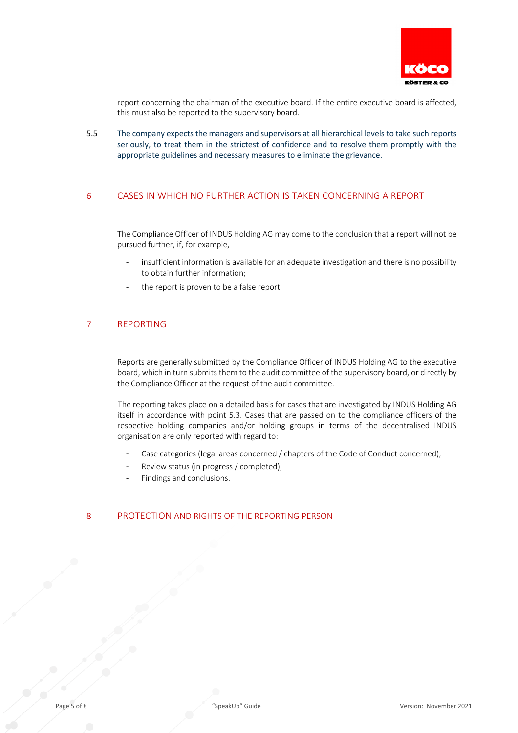

report concerning the chairman of the executive board. If the entire executive board is affected, this must also be reported to the supervisory board.

5.5 The company expects the managers and supervisors at all hierarchical levels to take such reports seriously, to treat them in the strictest of confidence and to resolve them promptly with the appropriate guidelines and necessary measures to eliminate the grievance.

# 6 CASES IN WHICH NO FURTHER ACTION IS TAKEN CONCERNING A REPORT

The Compliance Officer of INDUS Holding AG may come to the conclusion that a report will not be pursued further, if, for example,

- insufficient information is available for an adequate investigation and there is no possibility to obtain further information;
- the report is proven to be a false report.

#### 7 REPORTING

Reports are generally submitted by the Compliance Officer of INDUS Holding AG to the executive board, which in turn submits them to the audit committee of the supervisory board, or directly by the Compliance Officer at the request of the audit committee.

The reporting takes place on a detailed basis for cases that are investigated by INDUS Holding AG itself in accordance with point 5.3. Cases that are passed on to the compliance officers of the respective holding companies and/or holding groups in terms of the decentralised INDUS organisation are only reported with regard to:

- Case categories (legal areas concerned / chapters of the Code of Conduct concerned),
- Review status (in progress / completed),
- Findings and conclusions.

#### 8 PROTECTION AND RIGHTS OF THE REPORTING PERSON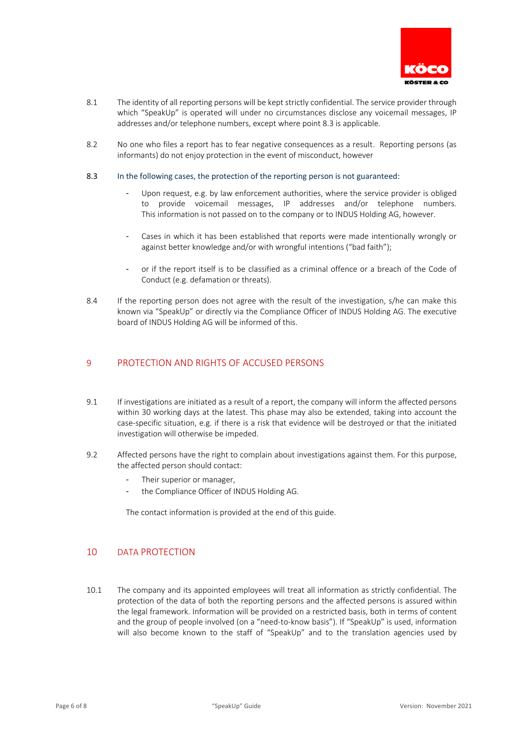

- 8.1 The identity of all reporting persons will be kept strictly confidential. The service provider through which "SpeakUp" is operated will under no circumstances disclose any voicemail messages, IP addresses and/or telephone numbers, except where point 8.3 is applicable.
- 8.2 No one who files a report has to fear negative consequences as a result. Reporting persons (as informants) do not enjoy protection in the event of misconduct, however

#### 8.3 In the following cases, the protection of the reporting person is not guaranteed:

- Upon request, e.g. by law enforcement authorities, where the service provider is obliged to provide voicemail messages, IP addresses and/or telephone numbers. This information is not passed on to the company or to INDUS Holding AG, however.
- Cases in which it has been established that reports were made intentionally wrongly or against better knowledge and/or with wrongful intentions ("bad faith");
- or if the report itself is to be classified as a criminal offence or a breach of the Code of Conduct (e.g. defamation or threats).
- 8.4 If the reporting person does not agree with the result of the investigation, s/he can make this known via "SpeakUp" or directly via the Compliance Officer of INDUS Holding AG. The executive board of INDUS Holding AG will be informed of this.

## 9 PROTECTION AND RIGHTS OF ACCUSED PERSONS

- 9.1 If investigations are initiated as a result of a report, the company will inform the affected persons within 30 working days at the latest. This phase may also be extended, taking into account the case-specific situation, e.g. if there is a risk that evidence will be destroyed or that the initiated investigation will otherwise be impeded.
- 9.2 Affected persons have the right to complain about investigations against them. For this purpose, the affected person should contact:
	- Their superior or manager.
	- the Compliance Officer of INDUS Holding AG.

The contact information is provided at the end of this guide.

# 10 DATA PROTECTION

10.1 The company and its appointed employees will treat all information as strictly confidential. The protection of the data of both the reporting persons and the affected persons is assured within the legal framework. Information will be provided on a restricted basis, both in terms of content and the group of people involved (on a "need-to-know basis"). If "SpeakUp" is used, information will also become known to the staff of "SpeakUp" and to the translation agencies used by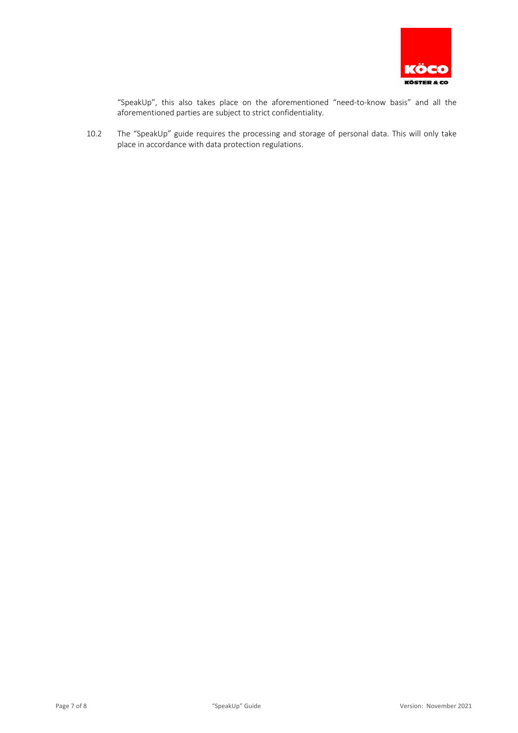

"SpeakUp", this also takes place on the aforementioned "need-to-know basis" and all the aforementioned parties are subject to strict confidentiality.

10.2 The "SpeakUp" guide requires the processing and storage of personal data. This will only take place in accordance with data protection regulations.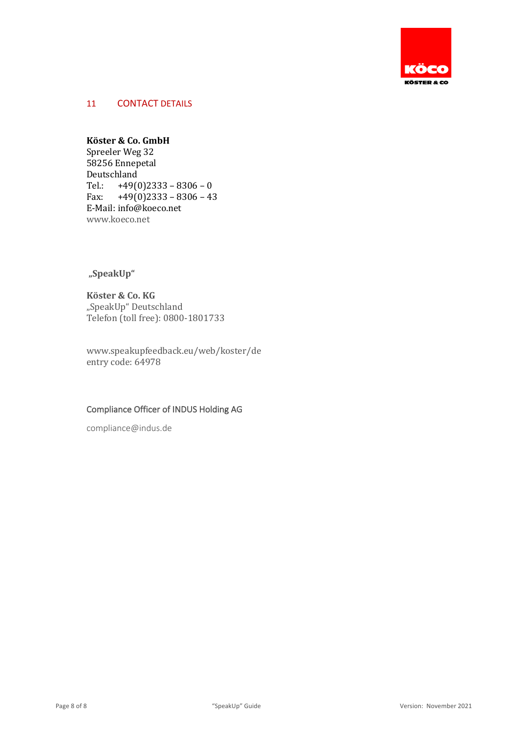

# 11 CONTACT DETAILS

# **Köster & Co. GmbH**

Spreeler Weg 32 58256 Ennepetal Deutschland Tel.:  $+49(0)2333 - 8306 - 0$ <br>Fax:  $+49(0)2333 - 8306 - 43$  $+49(0)2333 - 8306 - 43$ E-Mail: info@koeco.net www.koeco.net

# **"SpeakUp"**

**Köster & Co. KG** "SpeakUp" Deutschland Telefon (toll free): 0800-1801733

www.speakupfeedback.eu/web/koster/de entry code: 64978

# Compliance Officer of INDUS Holding AG

compliance@indus.de